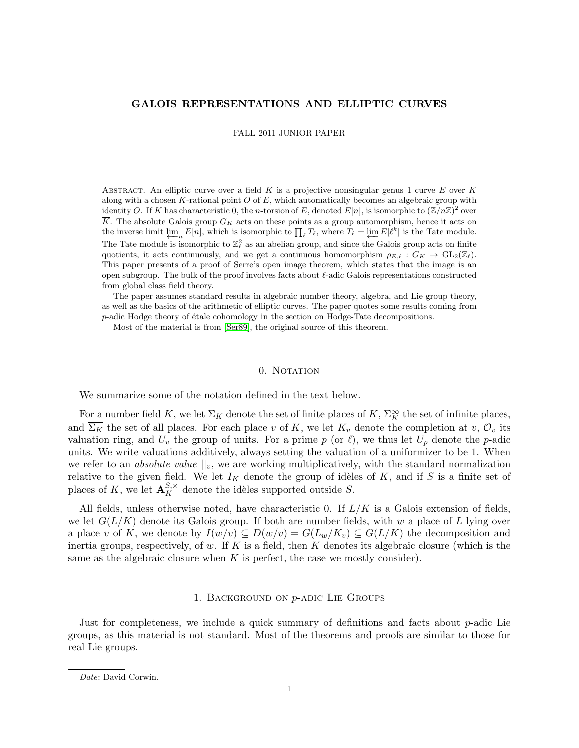# GALOIS REPRESENTATIONS AND ELLIPTIC CURVES

FALL 2011 JUNIOR PAPER

ABSTRACT. An elliptic curve over a field  $K$  is a projective nonsingular genus 1 curve  $E$  over  $K$ along with a chosen K-rational point  $O$  of  $E$ , which automatically becomes an algebraic group with identity O. If K has characteristic 0, the n-torsion of E, denoted  $E[n]$ , is isomorphic to  $(\mathbb{Z}/n\mathbb{Z})^2$  over K. The absolute Galois group  $G_K$  acts on these points as a group automorphism, hence it acts on the inverse limit  $\varprojlim_n E[n]$ , which is isomorphic to  $\prod_{\ell} T_{\ell}$ , where  $T_{\ell} = \varprojlim E[\ell^k]$  is the Tate module. The Tate module is isomorphic to  $\mathbb{Z}_{\ell}^2$  as an abelian group, and since the Galois group acts on finite quotients, it acts continuously, and we get a continuous homomorphism  $\rho_{E,\ell} : G_K \to \text{GL}_2(\mathbb{Z}_\ell)$ . This paper presents of a proof of Serre's open image theorem, which states that the image is an open subgroup. The bulk of the proof involves facts about  $\ell$ -adic Galois representations constructed from global class field theory.

The paper assumes standard results in algebraic number theory, algebra, and Lie group theory, as well as the basics of the arithmetic of elliptic curves. The paper quotes some results coming from  $p$ -adic Hodge theory of étale cohomology in the section on Hodge-Tate decompositions.

Most of the material is from [\[Ser89\]](#page-19-0), the original source of this theorem.

# 0. NOTATION

We summarize some of the notation defined in the text below.

For a number field K, we let  $\Sigma_K$  denote the set of finite places of K,  $\Sigma_K^{\infty}$  the set of infinite places, and  $\overline{\Sigma_K}$  the set of all places. For each place v of K, we let  $K_v$  denote the completion at v,  $\mathcal{O}_v$  its valuation ring, and  $U_v$  the group of units. For a prime p (or  $\ell$ ), we thus let  $U_p$  denote the p-adic units. We write valuations additively, always setting the valuation of a uniformizer to be 1. When we refer to an *absolute value*  $||_v$ , we are working multiplicatively, with the standard normalization relative to the given field. We let  $I_K$  denote the group of idèles of K, and if S is a finite set of places of K, we let  $\mathbf{A}_{K}^{S,\times}$  denote the idèles supported outside S.

All fields, unless otherwise noted, have characteristic 0. If  $L/K$  is a Galois extension of fields, we let  $G(L/K)$  denote its Galois group. If both are number fields, with w a place of L lying over a place v of K, we denote by  $I(w/v) \subseteq D(w/v) = G(L_w/K_v) \subseteq G(L/K)$  the decomposition and inertia groups, respectively, of w. If K is a field, then  $\overline{K}$  denotes its algebraic closure (which is the same as the algebraic closure when  $K$  is perfect, the case we mostly consider).

## 1. Background on p-adic Lie Groups

Just for completeness, we include a quick summary of definitions and facts about  $p$ -adic Lie groups, as this material is not standard. Most of the theorems and proofs are similar to those for real Lie groups.

Date: David Corwin.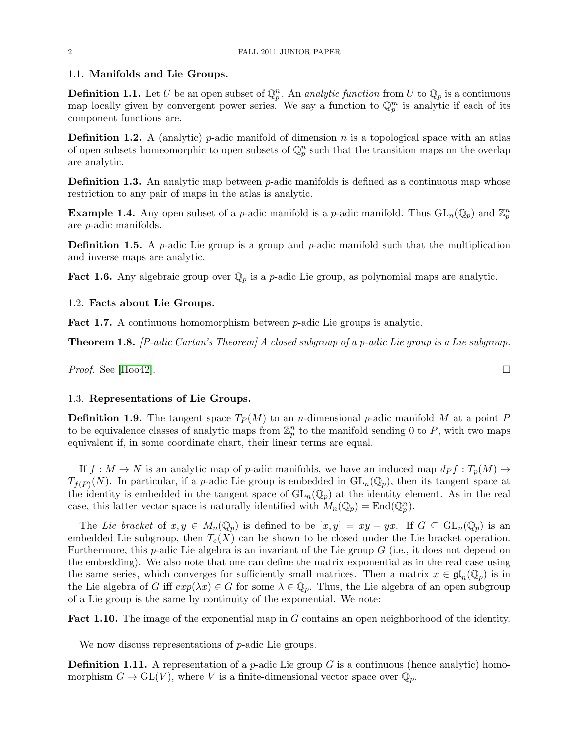### 1.1. Manifolds and Lie Groups.

**Definition 1.1.** Let U be an open subset of  $\mathbb{Q}_p^n$ . An *analytic function* from U to  $\mathbb{Q}_p$  is a continuous map locally given by convergent power series. We say a function to  $\mathbb{Q}_p^m$  is analytic if each of its component functions are.

**Definition 1.2.** A (analytic) *p*-adic manifold of dimension *n* is a topological space with an atlas of open subsets homeomorphic to open subsets of  $\mathbb{Q}_p^n$  such that the transition maps on the overlap are analytic.

**Definition 1.3.** An analytic map between  $p$ -adic manifolds is defined as a continuous map whose restriction to any pair of maps in the atlas is analytic.

**Example 1.4.** Any open subset of a *p*-adic manifold is a *p*-adic manifold. Thus  $GL_n(\mathbb{Q}_p)$  and  $\mathbb{Z}_p^n$ are p-adic manifolds.

**Definition 1.5.** A *p*-adic Lie group is a group and *p*-adic manifold such that the multiplication and inverse maps are analytic.

**Fact 1.6.** Any algebraic group over  $\mathbb{Q}_p$  is a *p*-adic Lie group, as polynomial maps are analytic.

# 1.2. Facts about Lie Groups.

Fact 1.7. A continuous homomorphism between *p*-adic Lie groups is analytic.

<span id="page-1-0"></span>Theorem 1.8. [P-adic Cartan's Theorem] A closed subgroup of a p-adic Lie group is a Lie subgroup.

*Proof.* See [\[Hoo42\]](#page-19-1).

# 1.3. Representations of Lie Groups.

**Definition 1.9.** The tangent space  $T_P(M)$  to an *n*-dimensional *p*-adic manifold M at a point P to be equivalence classes of analytic maps from  $\mathbb{Z}_p^n$  to the manifold sending 0 to P, with two maps equivalent if, in some coordinate chart, their linear terms are equal.

If  $f : M \to N$  is an analytic map of p-adic manifolds, we have an induced map  $d_P f : T_p(M) \to$  $T_{f(P)}(N)$ . In particular, if a *p*-adic Lie group is embedded in  $GL_n(\mathbb{Q}_p)$ , then its tangent space at the identity is embedded in the tangent space of  $GL_n(\mathbb{Q}_p)$  at the identity element. As in the real case, this latter vector space is naturally identified with  $M_n(\mathbb{Q}_p) = \text{End}(\mathbb{Q}_p^n)$ .

The Lie bracket of  $x, y \in M_n(\mathbb{Q}_p)$  is defined to be  $[x, y] = xy - yx$ . If  $G \subseteq GL_n(\mathbb{Q}_p)$  is an embedded Lie subgroup, then  $T_e(X)$  can be shown to be closed under the Lie bracket operation. Furthermore, this *p*-adic Lie algebra is an invariant of the Lie group  $G$  (i.e., it does not depend on the embedding). We also note that one can define the matrix exponential as in the real case using the same series, which converges for sufficiently small matrices. Then a matrix  $x \in \mathfrak{gl}_n(\mathbb{Q}_p)$  is in the Lie algebra of G iff  $exp(\lambda x) \in G$  for some  $\lambda \in \mathbb{Q}_p$ . Thus, the Lie algebra of an open subgroup of a Lie group is the same by continuity of the exponential. We note:

<span id="page-1-1"></span>Fact 1.10. The image of the exponential map in G contains an open neighborhood of the identity.

We now discuss representations of *p*-adic Lie groups.

**Definition 1.11.** A representation of a *p*-adic Lie group  $G$  is a continuous (hence analytic) homomorphism  $G \to GL(V)$ , where V is a finite-dimensional vector space over  $\mathbb{Q}_p$ .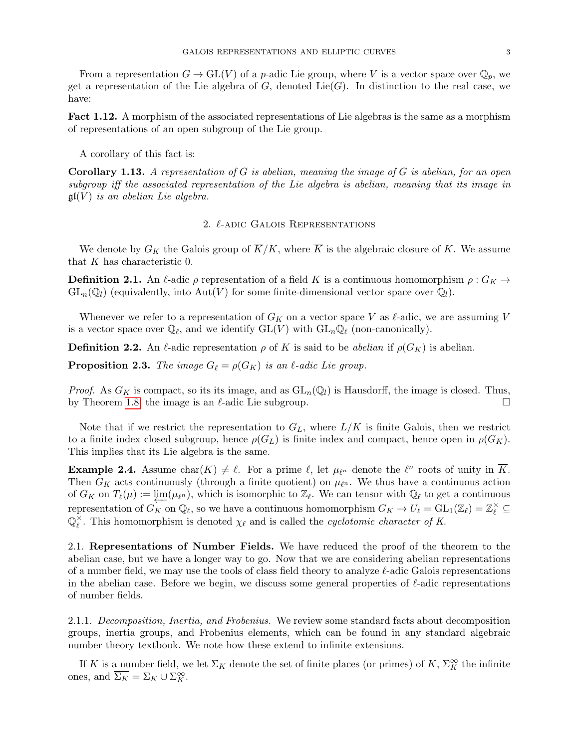From a representation  $G \to GL(V)$  of a p-adic Lie group, where V is a vector space over  $\mathbb{Q}_p$ , we get a representation of the Lie algebra of  $G$ , denoted Lie $(G)$ . In distinction to the real case, we have:

Fact 1.12. A morphism of the associated representations of Lie algebras is the same as a morphism of representations of an open subgroup of the Lie group.

A corollary of this fact is:

<span id="page-2-0"></span>**Corollary 1.13.** A representation of G is abelian, meaning the image of G is abelian, for an open subgroup iff the associated representation of the Lie algebra is abelian, meaning that its image in  $\mathfrak{gl}(V)$  is an abelian Lie algebra.

# 2.  $\ell$ -adic Galois Representations

We denote by  $G_K$  the Galois group of  $\overline{K}/K$ , where  $\overline{K}$  is the algebraic closure of K. We assume that K has characteristic 0.

**Definition 2.1.** An  $\ell$ -adic  $\rho$  representation of a field K is a continuous homomorphism  $\rho : G_K \to$  $GL_n(\mathbb{Q}_l)$  (equivalently, into  $Aut(V)$  for some finite-dimensional vector space over  $\mathbb{Q}_l$ ).

Whenever we refer to a representation of  $G_K$  on a vector space V as  $\ell$ -adic, we are assuming V is a vector space over  $\mathbb{Q}_\ell$ , and we identify  $\mathrm{GL}(V)$  with  $\mathrm{GL}_n\mathbb{Q}_\ell$  (non-canonically).

**Definition 2.2.** An  $\ell$ -adic representation  $\rho$  of K is said to be abelian if  $\rho(G_K)$  is abelian.

**Proposition 2.3.** The image  $G_\ell = \rho(G_K)$  is an  $\ell$ -adic Lie group.

*Proof.* As  $G_K$  is compact, so its its image, and as  $GL_n(\mathbb{Q}_l)$  is Hausdorff, the image is closed. Thus, by Theorem [1.8,](#page-1-0) the image is an  $\ell$ -adic Lie subgroup.  $\Box$ 

Note that if we restrict the representation to  $G_L$ , where  $L/K$  is finite Galois, then we restrict to a finite index closed subgroup, hence  $\rho(G_L)$  is finite index and compact, hence open in  $\rho(G_K)$ . This implies that its Lie algebra is the same.

**Example 2.4.** Assume char $(K) \neq \ell$ . For a prime  $\ell$ , let  $\mu_{\ell^n}$  denote the  $\ell^n$  roots of unity in  $\overline{K}$ . Then  $G_K$  acts continuously (through a finite quotient) on  $\mu_{\ell^n}$ . We thus have a continuous action of  $G_K$  on  $T_\ell(\mu) := \varprojlim(\mu_{\ell^n})$ , which is isomorphic to  $\mathbb{Z}_\ell$ . We can tensor with  $\mathbb{Q}_\ell$  to get a continuous representation of  $G_K$  on  $\mathbb{Q}_\ell$ , so we have a continuous homomorphism  $G_K \to U_\ell = GL_1(\mathbb{Z}_\ell) = \mathbb{Z}_\ell^\times \subseteq$  $\mathbb{O}_e^{\times}$  $\chi$ . This homomorphism is denoted  $\chi_{\ell}$  and is called the *cyclotomic character of K*.

2.1. Representations of Number Fields. We have reduced the proof of the theorem to the abelian case, but we have a longer way to go. Now that we are considering abelian representations of a number field, we may use the tools of class field theory to analyze  $\ell$ -adic Galois representations in the abelian case. Before we begin, we discuss some general properties of  $\ell$ -adic representations of number fields.

2.1.1. Decomposition, Inertia, and Frobenius. We review some standard facts about decomposition groups, inertia groups, and Frobenius elements, which can be found in any standard algebraic number theory textbook. We note how these extend to infinite extensions.

If K is a number field, we let  $\Sigma_K$  denote the set of finite places (or primes) of K,  $\Sigma_K^{\infty}$  the infinite ones, and  $\overline{\Sigma_K} = \Sigma_K \cup \Sigma_K^{\infty}$ .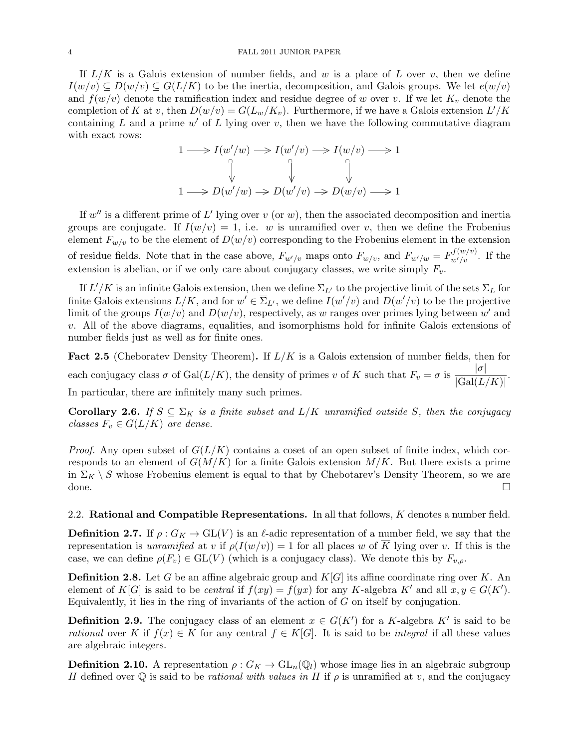#### 4 FALL 2011 JUNIOR PAPER

If  $L/K$  is a Galois extension of number fields, and w is a place of L over v, then we define  $I(w/v) \subseteq D(w/v) \subseteq G(L/K)$  to be the inertia, decomposition, and Galois groups. We let  $e(w/v)$ and  $f(w/v)$  denote the ramification index and residue degree of w over v. If we let  $K_v$  denote the completion of K at v, then  $D(w/v) = G(L_w/K_v)$ . Furthermore, if we have a Galois extension  $L'/K$ containing L and a prime  $w'$  of L lying over v, then we have the following commutative diagram with exact rows:

$$
1 \longrightarrow I(w'/w) \longrightarrow I(w'/v) \longrightarrow I(w/v) \longrightarrow 1
$$
  
\n
$$
\downarrow \qquad \qquad \downarrow \qquad \qquad \downarrow
$$
  
\n
$$
1 \longrightarrow D(w'/w) \longrightarrow D(w'/v) \longrightarrow D(w/v) \longrightarrow 1
$$

If  $w''$  is a different prime of L' lying over v (or w), then the associated decomposition and inertia groups are conjugate. If  $I(w/v) = 1$ , i.e. w is unramified over v, then we define the Frobenius element  $F_{w/v}$  to be the element of  $D(w/v)$  corresponding to the Frobenius element in the extension of residue fields. Note that in the case above,  $F_{w'/v}$  maps onto  $F_{w/v}$ , and  $F_{w'/w} = F_{w'/v}^{f(w/v)}$ . If the extension is abelian, or if we only care about conjugacy classes, we write simply  $F_v$ .

If  $L'/K$  is an infinite Galois extension, then we define  $\overline{\Sigma}_{L'}$  to the projective limit of the sets  $\overline{\Sigma}_L$  for finite Galois extensions  $L/K$ , and for  $w' \in \overline{\Sigma}_{L'}$ , we define  $I(w'/v)$  and  $D(w'/v)$  to be the projective limit of the groups  $I(w/v)$  and  $D(w/v)$ , respectively, as w ranges over primes lying between w' and v. All of the above diagrams, equalities, and isomorphisms hold for infinite Galois extensions of number fields just as well as for finite ones.

Fact 2.5 (Cheboratev Density Theorem). If  $L/K$  is a Galois extension of number fields, then for each conjugacy class  $\sigma$  of Gal $(L/K)$ , the density of primes v of K such that  $F_v = \sigma$  is  $\frac{|\sigma|}{|G_v|/|L|}$  $\frac{10}{|\text{Gal}(L/K)|}$ . In particular, there are infinitely many such primes.

**Corollary 2.6.** If  $S \subseteq \Sigma_K$  is a finite subset and  $L/K$  unramified outside S, then the conjugacy classes  $F_v \in G(L/K)$  are dense.

*Proof.* Any open subset of  $G(L/K)$  contains a coset of an open subset of finite index, which corresponds to an element of  $G(M/K)$  for a finite Galois extension  $M/K$ . But there exists a prime in  $\Sigma_K \setminus S$  whose Frobenius element is equal to that by Chebotarev's Density Theorem, so we are done.

2.2. Rational and Compatible Representations. In all that follows, K denotes a number field.

**Definition 2.7.** If  $\rho: G_K \to GL(V)$  is an l-adic representation of a number field, we say that the representation is unramified at v if  $\rho(I(w/v)) = 1$  for all places w of  $\overline{K}$  lying over v. If this is the case, we can define  $\rho(F_v) \in GL(V)$  (which is a conjugacy class). We denote this by  $F_{v,\rho}$ .

**Definition 2.8.** Let G be an affine algebraic group and  $K[G]$  its affine coordinate ring over K. An element of K[G] is said to be *central* if  $f(xy) = f(yx)$  for any K-algebra K' and all  $x, y \in G(K')$ . Equivalently, it lies in the ring of invariants of the action of  $G$  on itself by conjugation.

**Definition 2.9.** The conjugacy class of an element  $x \in G(K')$  for a K-algebra K' is said to be rational over K if  $f(x) \in K$  for any central  $f \in K[G]$ . It is said to be *integral* if all these values are algebraic integers.

**Definition 2.10.** A representation  $\rho: G_K \to GL_n(\mathbb{Q}_l)$  whose image lies in an algebraic subgroup H defined over  $\mathbb Q$  is said to be *rational with values in* H if  $\rho$  is unramified at v, and the conjugacy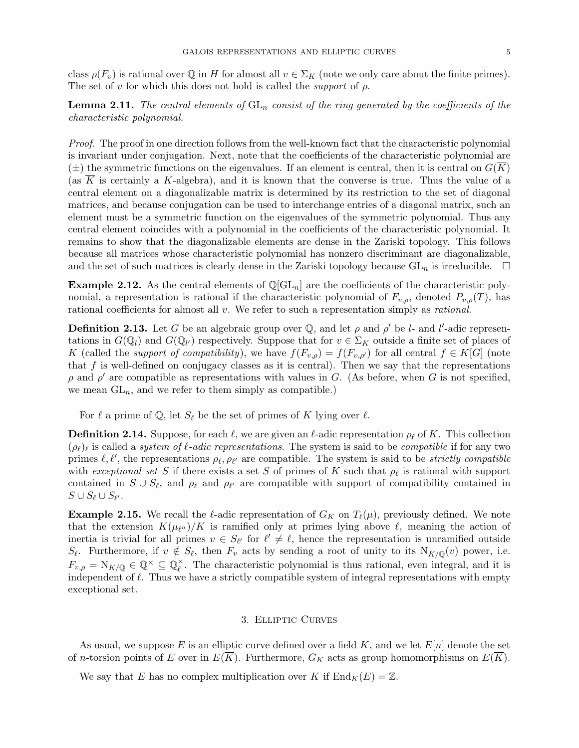class  $\rho(F_v)$  is rational over Q in H for almost all  $v \in \Sigma_K$  (note we only care about the finite primes). The set of v for which this does not hold is called the *support* of  $\rho$ .

**Lemma 2.11.** The central elements of  $GL_n$  consist of the ring generated by the coefficients of the characteristic polynomial.

Proof. The proof in one direction follows from the well-known fact that the characteristic polynomial is invariant under conjugation. Next, note that the coefficients of the characteristic polynomial are  $(\pm)$  the symmetric functions on the eigenvalues. If an element is central, then it is central on  $G(\overline{K})$ (as K is certainly a K-algebra), and it is known that the converse is true. Thus the value of a central element on a diagonalizable matrix is determined by its restriction to the set of diagonal matrices, and because conjugation can be used to interchange entries of a diagonal matrix, such an element must be a symmetric function on the eigenvalues of the symmetric polynomial. Thus any central element coincides with a polynomial in the coefficients of the characteristic polynomial. It remains to show that the diagonalizable elements are dense in the Zariski topology. This follows because all matrices whose characteristic polynomial has nonzero discriminant are diagonalizable, and the set of such matrices is clearly dense in the Zariski topology because  $GL_n$  is irreducible.  $\square$ 

**Example 2.12.** As the central elements of  $\mathbb{Q}[GL_n]$  are the coefficients of the characteristic polynomial, a representation is rational if the characteristic polynomial of  $F_{v,\rho}$ , denoted  $P_{v,\rho}(T)$ , has rational coefficients for almost all v. We refer to such a representation simply as *rational*.

**Definition 2.13.** Let G be an algebraic group over Q, and let  $\rho$  and  $\rho'$  be l- and l'-adic representations in  $G(\mathbb{Q}_l)$  and  $G(\mathbb{Q}_{l'})$  respectively. Suppose that for  $v \in \Sigma_K$  outside a finite set of places of K (called the *support of compatibility*), we have  $f(F_{v,\rho}) = f(F_{v,\rho'})$  for all central  $f \in K[G]$  (note that  $f$  is well-defined on conjugacy classes as it is central). Then we say that the representations  $ρ$  and  $ρ'$  are compatible as representations with values in G. (As before, when G is not specified, we mean  $GL_n$ , and we refer to them simply as compatible.)

For  $\ell$  a prime of Q, let  $S_{\ell}$  be the set of primes of K lying over  $\ell$ .

**Definition 2.14.** Suppose, for each  $\ell$ , we are given an  $\ell$ -adic representation  $\rho_{\ell}$  of K. This collection  $(\rho_\ell)_\ell$  is called a system of  $\ell$ -adic representations. The system is said to be compatible if for any two primes  $\ell, \ell'$ , the representations  $\rho_{\ell}, \rho_{\ell'}$  are compatible. The system is said to be *strictly compatible* with exceptional set S if there exists a set S of primes of K such that  $\rho_{\ell}$  is rational with support contained in  $S \cup S_{\ell}$ , and  $\rho_{\ell}$  and  $\rho_{\ell'}$  are compatible with support of compatibility contained in  $S \cup S_{\ell} \cup S_{\ell'}$ .

**Example 2.15.** We recall the  $\ell$ -adic representation of  $G_K$  on  $T_{\ell}(\mu)$ , previously defined. We note that the extension  $K(\mu_{\ell^n})/K$  is ramified only at primes lying above  $\ell$ , meaning the action of inertia is trivial for all primes  $v \in S_{\ell'}$  for  $\ell' \neq \ell$ , hence the representation is unramified outside  $S_{\ell}$ . Furthermore, if  $v \notin S_{\ell}$ , then  $F_v$  acts by sending a root of unity to its  $N_{K/\mathbb{Q}}(v)$  power, i.e.  $F_{v,\rho} = N_{K/\mathbb{Q}} \in \mathbb{Q}^{\times} \subseteq \mathbb{Q}_{\ell}^{\times}$  $\chi^*$ . The characteristic polynomial is thus rational, even integral, and it is independent of  $\ell$ . Thus we have a strictly compatible system of integral representations with empty exceptional set.

### 3. Elliptic Curves

As usual, we suppose E is an elliptic curve defined over a field K, and we let  $E[n]$  denote the set of *n*-torsion points of E over in  $E(\overline{K})$ . Furthermore,  $G_K$  acts as group homomorphisms on  $E(\overline{K})$ .

We say that E has no complex multiplication over K if  $\text{End}_K(E) = \mathbb{Z}$ .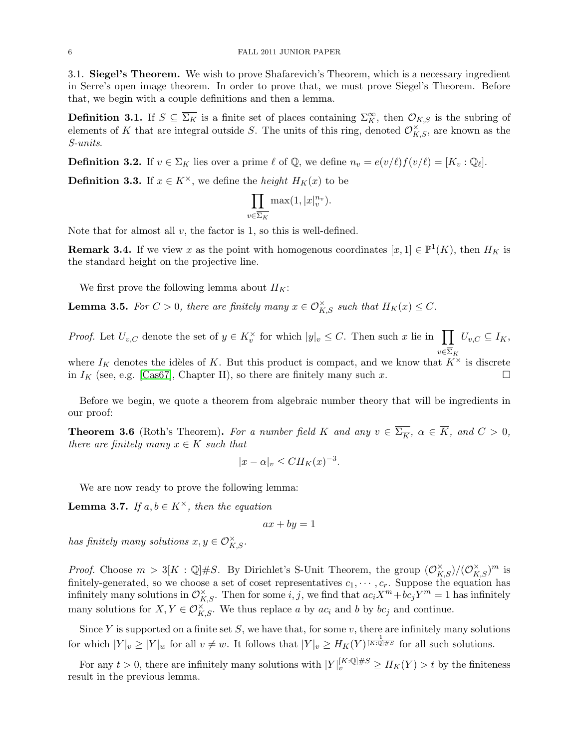3.1. Siegel's Theorem. We wish to prove Shafarevich's Theorem, which is a necessary ingredient in Serre's open image theorem. In order to prove that, we must prove Siegel's Theorem. Before that, we begin with a couple definitions and then a lemma.

**Definition 3.1.** If  $S \subseteq \overline{\Sigma_K}$  is a finite set of places containing  $\Sigma_K^{\infty}$ , then  $\mathcal{O}_{K,S}$  is the subring of elements of K that are integral outside S. The units of this ring, denoted  $\mathcal{O}_{K,S}^{\times}$ , are known as the S-units.

**Definition 3.2.** If  $v \in \Sigma_K$  lies over a prime  $\ell$  of  $\mathbb{Q}$ , we define  $n_v = e(v/\ell) f(v/\ell) = [K_v : \mathbb{Q}_\ell].$ 

**Definition 3.3.** If  $x \in K^{\times}$ , we define the *height*  $H_K(x)$  to be

$$
\prod_{v \in \overline{\Sigma_K}} \max(1, |x|_v^{n_v}).
$$

Note that for almost all  $v$ , the factor is 1, so this is well-defined.

**Remark 3.4.** If we view x as the point with homogenous coordinates  $[x, 1] \in \mathbb{P}^1(K)$ , then  $H_K$  is the standard height on the projective line.

We first prove the following lemma about  $H_K$ :

**Lemma 3.5.** For  $C > 0$ , there are finitely many  $x \in \mathcal{O}_{K,S}^{\times}$  such that  $H_K(x) \leq C$ .

*Proof.* Let  $U_{v,C}$  denote the set of  $y \in K_v^{\times}$  for which  $|y|_v \leq C$ . Then such x lie in  $\prod_{v,C} U_{v,C} \subseteq I_K$ ,  $v \in \Sigma_K$ where  $I_K$  denotes the idèles of K. But this product is compact, and we know that  $K^{\times}$  is discrete

in  $I_K$  (see, e.g. [\[Cas67\]](#page-19-2), Chapter II), so there are finitely many such x.

Before we begin, we quote a theorem from algebraic number theory that will be ingredients in our proof:

**Theorem 3.6** (Roth's Theorem). For a number field K and any  $v \in \overline{\Sigma_{\overline{K}}}, \ \alpha \in \overline{K}$ , and  $C > 0$ , there are finitely many  $x \in K$  such that

$$
|x - \alpha|_v \leq CH_K(x)^{-3}.
$$

We are now ready to prove the following lemma:

**Lemma 3.7.** If  $a, b \in K^\times$ , then the equation

 $ax + by = 1$ 

has finitely many solutions  $x, y \in \mathcal{O}_{K,S}^{\times}$ .

*Proof.* Choose  $m > 3[K : \mathbb{Q}]\#S$ . By Dirichlet's S-Unit Theorem, the group  $(\mathcal{O}_{K,S}^{\times})/(\mathcal{O}_{K,S}^{\times})^m$  is finitely-generated, so we choose a set of coset representatives  $c_1, \dots, c_r$ . Suppose the equation has infinitely many solutions in  $\mathcal{O}_{K,S}^{\times}$ . Then for some  $i, j$ , we find that  $ac_iX^m + bc_jY^m = 1$  has infinitely many solutions for  $X, Y \in \mathcal{O}_{K,S}^{\times}$ . We thus replace a by  $ac_i$  and b by  $bc_j$  and continue.

Since Y is supported on a finite set  $S$ , we have that, for some  $v$ , there are infinitely many solutions for which  $|Y|_v \geq |Y|_w$  for all  $v \neq w$ . It follows that  $|Y|_v \geq H_K(Y)^{\frac{1}{[K:\mathbb{Q}]\#\mathbb{S}}}$  for all such solutions.

For any  $t > 0$ , there are infinitely many solutions with  $|Y|_v^{[K:\mathbb{Q}]\#S} \geq H_K(Y) > t$  by the finiteness result in the previous lemma.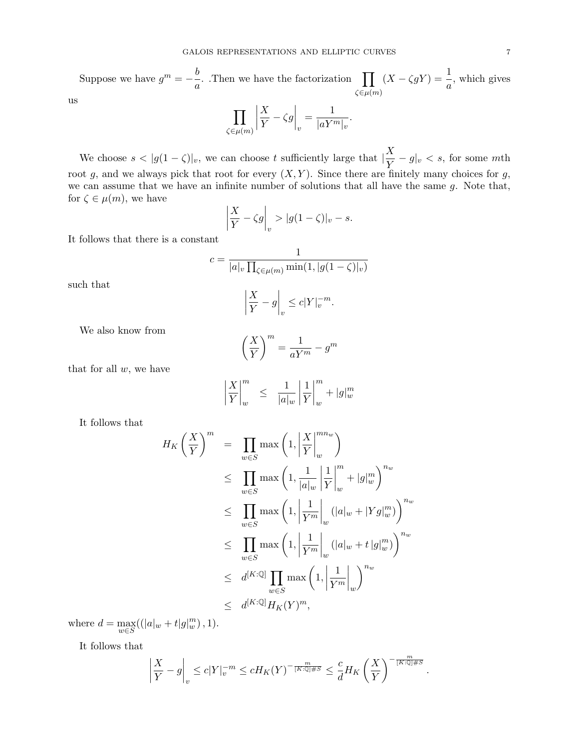Suppose we have  $g^m = -\frac{b}{\sqrt{2a}}$  $\frac{\partial}{\partial a}$ . Then we have the factorization  $\prod_{\ell \in \mathcal{L}}$  $\zeta \in \mu(m)$  $(X - \zeta gY) = \frac{1}{a}$ , which gives  $\overline{\phantom{a}}$  $\boldsymbol{X}$  $\overline{\phantom{a}}$ 1

$$
\,\,us
$$

$$
\prod_{\zeta\in\mu(m)}\left|\frac{X}{Y}-\zeta g\right|_v=\frac{1}{|aY^m|_v}.
$$

We choose  $s < |g(1-\zeta)|_v$ , we can choose t sufficiently large that  $|\frac{X}{Y}\rangle$  $\frac{d}{Y} - g|_v < s$ , for some *mth* root g, and we always pick that root for every  $(X, Y)$ . Since there are finitely many choices for g, we can assume that we have an infinite number of solutions that all have the same  $g$ . Note that, for  $\zeta \in \mu(m)$ , we have

$$
\left|\frac{X}{Y} - \zeta g\right|_v > |g(1-\zeta)|_v - s.
$$

It follows that there is a constant

$$
c = \frac{1}{|a|_v \prod_{\zeta \in \mu(m)} \min(1, |g(1-\zeta)|_v)}
$$

$$
\left| \frac{X}{\zeta - a} \right| \leq c|Y|^{-m}
$$

such that

$$
\left|\frac{X}{Y} - g\right|_v \le c|Y|_v^{-m}.
$$

We also know from

$$
\left(\frac{X}{Y}\right)^m = \frac{1}{aY^m} - g^m
$$

that for all  $w$ , we have

$$
\left|\frac{X}{Y}\right|_w^m \le \frac{1}{|a|_w} \left|\frac{1}{Y}\right|_w^m + |g|_w^m
$$

It follows that

$$
H_K\left(\frac{X}{Y}\right)^m = \prod_{w \in S} \max\left(1, \left|\frac{X}{Y}\right|_w^{m w}\right)
$$
  
\n
$$
\leq \prod_{w \in S} \max\left(1, \frac{1}{|a|_w} \left|\frac{1}{Y}\right|_w^{m} + |g|_w^m\right)^{n_w}
$$
  
\n
$$
\leq \prod_{w \in S} \max\left(1, \left|\frac{1}{Y^m}\right|_w (|a|_w + |Yg|_w^m)\right)^{n_w}
$$
  
\n
$$
\leq \prod_{w \in S} \max\left(1, \left|\frac{1}{Y^m}\right|_w (|a|_w + t|g|_w^m)\right)^{n_w}
$$
  
\n
$$
\leq d^{[K:\mathbb{Q}]} \prod_{w \in S} \max\left(1, \left|\frac{1}{Y^m}\right|_w\right)^{n_w}
$$
  
\n
$$
\leq d^{[K:\mathbb{Q}]} H_K(Y)^m,
$$

where  $d = \max_{w \in S}((|a|_w + t|g|_w^m), 1).$ 

It follows that

$$
\left|\frac{X}{Y} - g\right|_v \le c|Y|_v^{-m} \le cH_K(Y)^{-\frac{m}{[K:\mathbb{Q}]\#S}} \le \frac{c}{d}H_K\left(\frac{X}{Y}\right)^{-\frac{m}{[K:\mathbb{Q}]\#S}}.
$$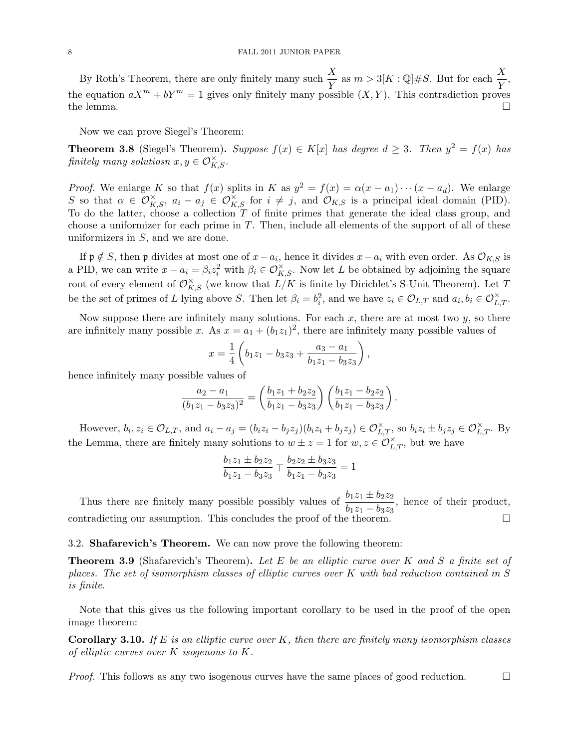By Roth's Theorem, there are only finitely many such  $\frac{X}{Y}$  as  $m > 3[K:\mathbb{Q}]\#S$ . But for each  $\frac{X}{Y}$ , the equation  $aX^m + bY^m = 1$  gives only finitely many possible  $(X, Y)$ . This contradiction proves the lemma.  $\square$ 

Now we can prove Siegel's Theorem:

**Theorem 3.8** (Siegel's Theorem). Suppose  $f(x) \in K[x]$  has degree  $d \geq 3$ . Then  $y^2 = f(x)$  has  $\emph{finitely many solutions} \ x,y \in \mathcal{O}_{K,S}^{\times}.$ 

*Proof.* We enlarge K so that  $f(x)$  splits in K as  $y^2 = f(x) = \alpha(x - a_1) \cdots (x - a_d)$ . We enlarge S so that  $\alpha \in \mathcal{O}_{K,S}^{\times}$ ,  $a_i - a_j \in \mathcal{O}_{K,S}^{\times}$  for  $i \neq j$ , and  $\mathcal{O}_{K,S}$  is a principal ideal domain (PID). To do the latter, choose a collection  $T$  of finite primes that generate the ideal class group, and choose a uniformizer for each prime in  $T$ . Then, include all elements of the support of all of these uniformizers in  $S$ , and we are done.

If  $\mathfrak{p} \notin S$ , then  $\mathfrak{p}$  divides at most one of  $x - a_i$ , hence it divides  $x - a_i$  with even order. As  $\mathcal{O}_{K,S}$  is a PID, we can write  $x - a_i = \beta_i z_i^2$  with  $\beta_i \in \mathcal{O}_{K,S}^{\times}$ . Now let L be obtained by adjoining the square root of every element of  $\mathcal{O}_{K,S}^{\times}$  (we know that  $L/K$  is finite by Dirichlet's S-Unit Theorem). Let T be the set of primes of L lying above S. Then let  $\beta_i = b_i^2$ , and we have  $z_i \in \mathcal{O}_{L,T}$  and  $a_i, b_i \in \mathcal{O}_{L,T}^{\times}$ .

Now suppose there are infinitely many solutions. For each  $x$ , there are at most two  $y$ , so there are infinitely many possible x. As  $x = a_1 + (b_1 z_1)^2$ , there are infinitely many possible values of

$$
x = \frac{1}{4} \left( b_1 z_1 - b_3 z_3 + \frac{a_3 - a_1}{b_1 z_1 - b_3 z_3} \right),
$$

hence infinitely many possible values of

$$
\frac{a_2 - a_1}{(b_1z_1 - b_3z_3)^2} = \left(\frac{b_1z_1 + b_2z_2}{b_1z_1 - b_3z_3}\right)\left(\frac{b_1z_1 - b_2z_2}{b_1z_1 - b_3z_3}\right).
$$

However,  $b_i, z_i \in \mathcal{O}_{L,T}$ , and  $a_i - a_j = (b_i z_i - b_j z_j)(b_i z_i + b_j z_j) \in \mathcal{O}_{L,T}^{\times}$ , so  $b_i z_i \pm b_j z_j \in \mathcal{O}_{L,T}^{\times}$ . By the Lemma, there are finitely many solutions to  $w \pm z = 1$  for  $w, z \in \mathcal{O}_{L,T}^{\times}$ , but we have

$$
\frac{b_1z_1 \pm b_2z_2}{b_1z_1 - b_3z_3} \mp \frac{b_2z_2 \pm b_3z_3}{b_1z_1 - b_3z_3} = 1
$$

Thus there are finitely many possible possibly values of  $\frac{b_1z_1 \pm b_2z_2}{b_1}$  $\frac{b_1z_1 \pm b_2z_2}{b_1z_1 - b_3z_3}$ , hence of their product, contradicting our assumption. This concludes the proof of the theorem.  $\Box$ 

# 3.2. Shafarevich's Theorem. We can now prove the following theorem:

**Theorem 3.9** (Shafarevich's Theorem). Let E be an elliptic curve over K and S a finite set of places. The set of isomorphism classes of elliptic curves over K with bad reduction contained in S is finite.

Note that this gives us the following important corollary to be used in the proof of the open image theorem:

**Corollary 3.10.** If E is an elliptic curve over K, then there are finitely many isomorphism classes of elliptic curves over  $K$  isogenous to  $K$ .

*Proof.* This follows as any two isogenous curves have the same places of good reduction.  $\square$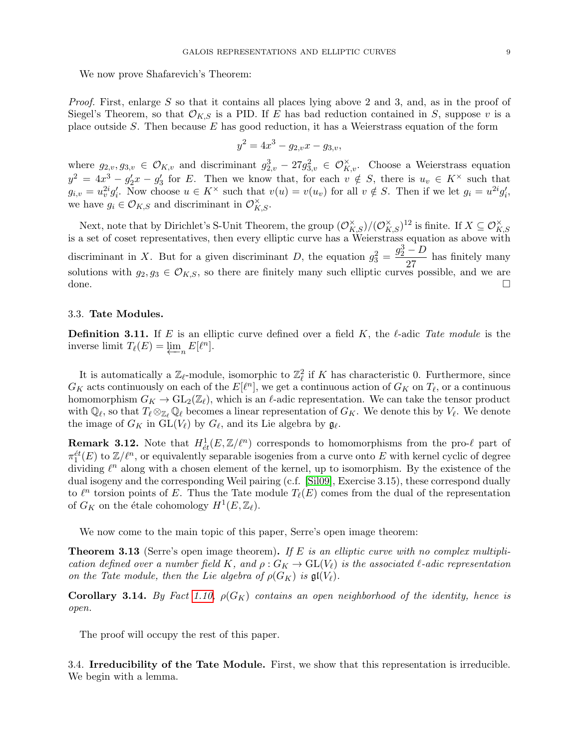We now prove Shafarevich's Theorem:

Proof. First, enlarge S so that it contains all places lying above 2 and 3, and, as in the proof of Siegel's Theorem, so that  $\mathcal{O}_{K,S}$  is a PID. If E has bad reduction contained in S, suppose v is a place outside S. Then because  $E$  has good reduction, it has a Weierstrass equation of the form

$$
y^2 = 4x^3 - g_{2,v}x - g_{3,v},
$$

where  $g_{2,v}, g_{3,v} \in \mathcal{O}_{K,v}$  and discriminant  $g_{2,v}^3 - 27g_{3,v}^2 \in \mathcal{O}_{K,v}^{\times}$ . Choose a Weierstrass equation  $y^2 = 4x^3 - g'_2x - g'_3$  for E. Then we know that, for each  $v \notin S$ , there is  $u_v \in K^\times$  such that  $g_{i,v} = u_v^{2i} g'_i$ . Now choose  $u \in K^\times$  such that  $v(u) = v(u_v)$  for all  $v \notin S$ . Then if we let  $g_i = u^{2i} g'_i$ , we have  $g_i \in \mathcal{O}_{K,S}$  and discriminant in  $\mathcal{O}_{K,S}^{\times}$ .

Next, note that by Dirichlet's S-Unit Theorem, the group  $(\mathcal{O}_{K,S}^{\times})/(\mathcal{O}_{K,S}^{\times})^{12}$  is finite. If  $X \subseteq \mathcal{O}_{K,S}^{\times}$ <br>is a set of coset representatives, then every elliptic curve has a Weierstrass equation as above discriminant in X. But for a given discriminant D, the equation  $g_3^2 = \frac{g_2^3 - D}{27}$  $\frac{27}{27}$  has finitely many solutions with  $g_2, g_3 \in \mathcal{O}_{K,S}$ , so there are finitely many such elliptic curves possible, and we are done.

# 3.3. Tate Modules.

**Definition 3.11.** If E is an elliptic curve defined over a field K, the  $\ell$ -adic Tate module is the inverse limit  $T_{\ell}(E) = \varprojlim_{n} E[\ell^{n}].$ 

It is automatically a  $\mathbb{Z}_{\ell}$ -module, isomorphic to  $\mathbb{Z}_{\ell}^2$  if K has characteristic 0. Furthermore, since  $G_K$  acts continuously on each of the  $E[\ell^n]$ , we get a continuous action of  $G_K$  on  $T_\ell$ , or a continuous homomorphism  $G_K \to GL_2(\mathbb{Z}_\ell)$ , which is an  $\ell$ -adic representation. We can take the tensor product with  $\mathbb{Q}_\ell$ , so that  $T_\ell \otimes_{\mathbb{Z}_\ell} \mathbb{Q}_\ell$  becomes a linear representation of  $G_K$ . We denote this by  $V_\ell$ . We denote the image of  $G_K$  in  $GL(V_\ell)$  by  $G_\ell$ , and its Lie algebra by  $\mathfrak{g}_\ell$ .

**Remark 3.12.** Note that  $H^1_{\acute{e}t}(E,\mathbb{Z}/\ell^n)$  corresponds to homomorphisms from the pro- $\ell$  part of  $\pi_1^{\text{\'et}}(E)$  to  $\mathbb{Z}/\ell^n$ , or equivalently separable isogenies from a curve onto E with kernel cyclic of degree dividing  $\ell^n$  along with a chosen element of the kernel, up to isomorphism. By the existence of the dual isogeny and the corresponding Weil pairing (c.f. [\[Sil09\]](#page-19-3), Exercise 3.15), these correspond dually to  $\ell^n$  torsion points of E. Thus the Tate module  $T_{\ell}(E)$  comes from the dual of the representation of  $G_K$  on the étale cohomology  $H^1(E, \mathbb{Z}_\ell)$ .

We now come to the main topic of this paper, Serre's open image theorem:

**Theorem 3.13** (Serre's open image theorem). If E is an elliptic curve with no complex multiplication defined over a number field K, and  $\rho: G_K \to GL(V_{\ell})$  is the associated  $\ell$ -adic representation on the Tate module, then the Lie algebra of  $\rho(G_K)$  is  $\mathfrak{gl}(V_{\ell}).$ 

**Corollary 3.14.** By Fact [1.10,](#page-1-1)  $\rho(G_K)$  contains an open neighborhood of the identity, hence is open.

The proof will occupy the rest of this paper.

3.4. Irreducibility of the Tate Module. First, we show that this representation is irreducible. We begin with a lemma.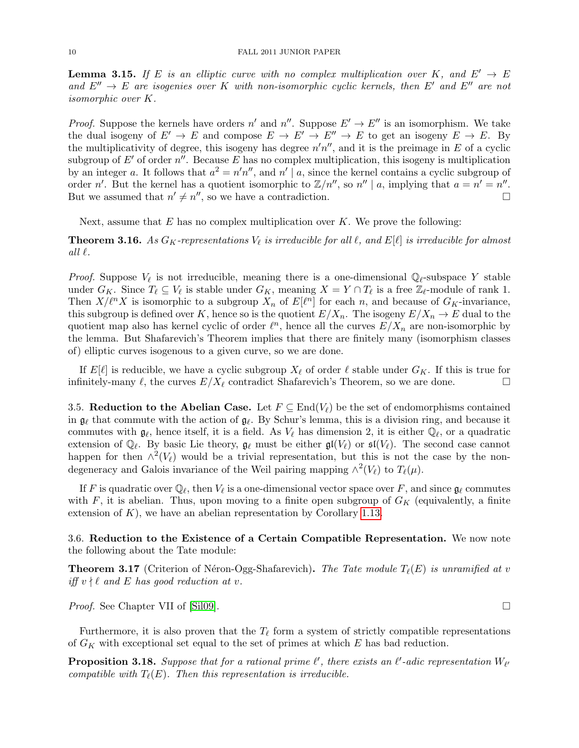**Lemma 3.15.** If E is an elliptic curve with no complex multiplication over K, and  $E' \rightarrow E$ and  $E'' \rightarrow E$  are isogenies over K with non-isomorphic cyclic kernels, then E' and E'' are not isomorphic over K.

*Proof.* Suppose the kernels have orders n' and n''. Suppose  $E' \to E''$  is an isomorphism. We take the dual isogeny of  $E' \to E$  and compose  $E \to E' \to E'' \to E$  to get an isogeny  $E \to E$ . By the multiplicativity of degree, this isogeny has degree  $n'n''$ , and it is the preimage in E of a cyclic subgroup of  $E'$  of order  $n''$ . Because E has no complex multiplication, this isogeny is multiplication by an integer a. It follows that  $a^2 = n'n''$ , and  $n' | a$ , since the kernel contains a cyclic subgroup of order n'. But the kernel has a quotient isomorphic to  $\mathbb{Z}/n''$ , so  $n'' \mid a$ , implying that  $a = n' = n''$ . But we assumed that  $n' \neq n''$ , so we have a contradiction.

Next, assume that  $E$  has no complex multiplication over  $K$ . We prove the following:

**Theorem 3.16.** As  $G_K$ -representations  $V_\ell$  is irreducible for all  $\ell$ , and  $E[\ell]$  is irreducible for almost all  $\ell$ .

*Proof.* Suppose  $V_{\ell}$  is not irreducible, meaning there is a one-dimensional  $\mathbb{Q}_{\ell}$ -subspace Y stable under  $G_K$ . Since  $T_\ell \subseteq V_\ell$  is stable under  $G_K$ , meaning  $X = Y \cap T_\ell$  is a free  $\mathbb{Z}_\ell$ -module of rank 1. Then  $X/\ell^n X$  is isomorphic to a subgroup  $X_n$  of  $E[\ell^n]$  for each n, and because of  $G_K$ -invariance, this subgroup is defined over K, hence so is the quotient  $E/X_n$ . The isogeny  $E/X_n \to E$  dual to the quotient map also has kernel cyclic of order  $\ell^n$ , hence all the curves  $E/X_n$  are non-isomorphic by the lemma. But Shafarevich's Theorem implies that there are finitely many (isomorphism classes of) elliptic curves isogenous to a given curve, so we are done.

If  $E[\ell]$  is reducible, we have a cyclic subgroup  $X_{\ell}$  of order  $\ell$  stable under  $G_K$ . If this is true for infinitely-many  $\ell$ , the curves  $E/X_{\ell}$  contradict Shafarevich's Theorem, so we are done.

3.5. Reduction to the Abelian Case. Let  $F \subseteq \text{End}(V_\ell)$  be the set of endomorphisms contained in  $\mathfrak{g}_\ell$  that commute with the action of  $\mathfrak{g}_\ell$ . By Schur's lemma, this is a division ring, and because it commutes with  $g_\ell$ , hence itself, it is a field. As  $V_\ell$  has dimension 2, it is either  $\widetilde{\mathbb{Q}_\ell}$ , or a quadratic extension of  $\mathbb{Q}_\ell$ . By basic Lie theory,  $\mathfrak{g}_\ell$  must be either  $\mathfrak{gl}(V_\ell)$  or  $\mathfrak{sl}(V_\ell)$ . The second case cannot happen for then  $\wedge^2(V_\ell)$  would be a trivial representation, but this is not the case by the nondegeneracy and Galois invariance of the Weil pairing mapping  $\wedge^2(V_\ell)$  to  $T_\ell(\mu)$ .

If F is quadratic over  $\mathbb{Q}_\ell$ , then  $V_\ell$  is a one-dimensional vector space over F, and since  $\mathfrak{g}_\ell$  commutes with F, it is abelian. Thus, upon moving to a finite open subgroup of  $G_K$  (equivalently, a finite extension of  $K$ ), we have an abelian representation by Corollary [1.13.](#page-2-0)

3.6. Reduction to the Existence of a Certain Compatible Representation. We now note the following about the Tate module:

**Theorem 3.17** (Criterion of Néron-Ogg-Shafarevich). The Tate module  $T_{\ell}(E)$  is unramified at v iff  $v \nmid \ell$  and E has good reduction at v.

*Proof.* See Chapter VII of [\[Sil09\]](#page-19-3). □

Furthermore, it is also proven that the  $T_{\ell}$  form a system of strictly compatible representations of  $G_K$  with exceptional set equal to the set of primes at which  $E$  has bad reduction.

<span id="page-9-0"></span>**Proposition 3.18.** Suppose that for a rational prime  $\ell'$ , there exists an  $\ell'$ -adic representation  $W_{\ell'}$ compatible with  $T_{\ell}(E)$ . Then this representation is irreducible.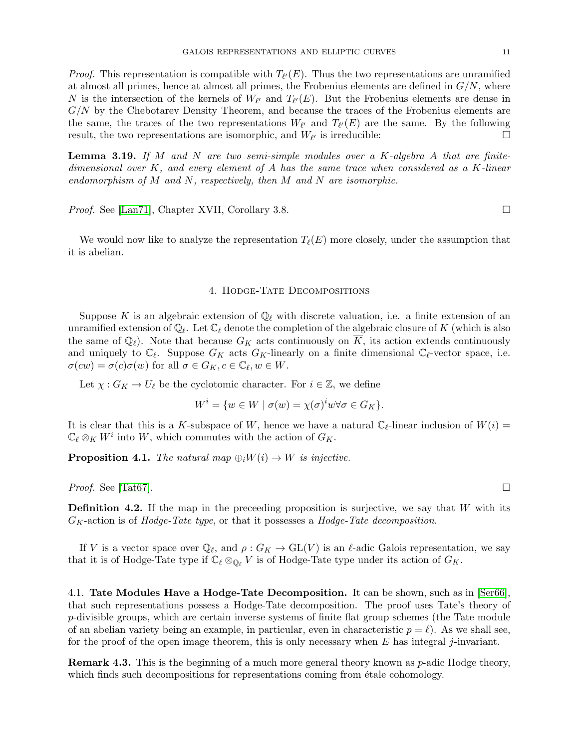*Proof.* This representation is compatible with  $T_{\ell'}(E)$ . Thus the two representations are unramified at almost all primes, hence at almost all primes, the Frobenius elements are defined in  $G/N$ , where N is the intersection of the kernels of  $W_{\ell'}$  and  $T_{\ell'}(E)$ . But the Frobenius elements are dense in  $G/N$  by the Chebotarev Density Theorem, and because the traces of the Frobenius elements are the same, the traces of the two representations  $W_{\ell'}$  and  $T_{\ell'}(E)$  are the same. By the following result, the two representations are isomorphic, and  $W_{\ell'}$  is irreducible:

<span id="page-10-0"></span>**Lemma 3.19.** If M and N are two semi-simple modules over a K-algebra A that are finitedimensional over K, and every element of A has the same trace when considered as a K-linear endomorphism of  $M$  and  $N$ , respectively, then  $M$  and  $N$  are isomorphic.

*Proof.* See [\[Lan71\]](#page-19-4), Chapter XVII, Corollary 3.8. □

We would now like to analyze the representation  $T_{\ell}(E)$  more closely, under the assumption that it is abelian.

### 4. Hodge-Tate Decompositions

Suppose K is an algebraic extension of  $\mathbb{Q}_\ell$  with discrete valuation, i.e. a finite extension of an unramified extension of  $\mathbb{Q}_\ell$ . Let  $\mathbb{C}_\ell$  denote the completion of the algebraic closure of K (which is also the same of  $\mathbb{Q}_\ell$ . Note that because  $G_K$  acts continuously on K, its action extends continuously and uniquely to  $\mathbb{C}_{\ell}$ . Suppose  $G_K$  acts  $G_K$ -linearly on a finite dimensional  $\mathbb{C}_{\ell}$ -vector space, i.e.  $\sigma(cw) = \sigma(c)\sigma(w)$  for all  $\sigma \in G_K, c \in \mathbb{C}_{\ell}, w \in W$ .

Let  $\chi: G_K \to U_\ell$  be the cyclotomic character. For  $i \in \mathbb{Z}$ , we define

$$
W^{i} = \{ w \in W \mid \sigma(w) = \chi(\sigma)^{i} w \forall \sigma \in G_{K} \}.
$$

It is clear that this is a K-subspace of W, hence we have a natural  $\mathbb{C}_{\ell}$ -linear inclusion of  $W(i)$  =  $\mathbb{C}_{\ell} \otimes_K W^i$  into W, which commutes with the action of  $G_K$ .

**Proposition 4.1.** The natural map  $\bigoplus_i W(i) \to W$  is injective.

*Proof.* See [\[Tat67\]](#page-19-5).

**Definition 4.2.** If the map in the preceeding proposition is surjective, we say that  $W$  with its  $G_K$ -action is of Hodge-Tate type, or that it possesses a Hodge-Tate decomposition.

If V is a vector space over  $\mathbb{Q}_{\ell}$ , and  $\rho : G_K \to GL(V)$  is an  $\ell$ -adic Galois representation, we say that it is of Hodge-Tate type if  $\mathbb{C}_{\ell} \otimes_{\mathbb{Q}_{\ell}} V$  is of Hodge-Tate type under its action of  $G_K$ .

4.1. Tate Modules Have a Hodge-Tate Decomposition. It can be shown, such as in [\[Ser66\]](#page-19-6), that such representations possess a Hodge-Tate decomposition. The proof uses Tate's theory of  $p$ -divisible groups, which are certain inverse systems of finite flat group schemes (the Tate module of an abelian variety being an example, in particular, even in characteristic  $p = \ell$ ). As we shall see, for the proof of the open image theorem, this is only necessary when  $E$  has integral j-invariant.

Remark 4.3. This is the beginning of a much more general theory known as p-adic Hodge theory, which finds such decompositions for representations coming from  $\acute{e}$ tale cohomology.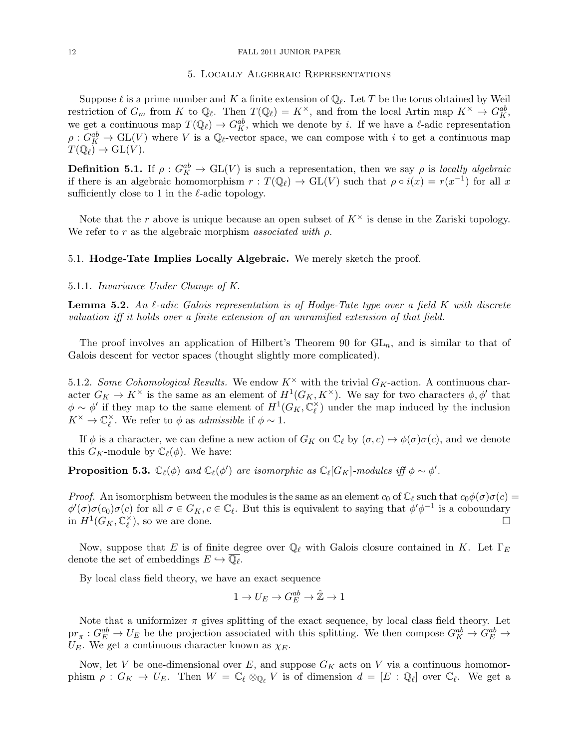#### <span id="page-11-1"></span>12 FALL 2011 JUNIOR PAPER

#### 5. Locally Algebraic Representations

Suppose  $\ell$  is a prime number and K a finite extension of  $\mathbb{Q}_{\ell}$ . Let T be the torus obtained by Weil restriction of  $G_m$  from K to  $\mathbb{Q}_{\ell}$ . Then  $T(\mathbb{Q}_{\ell}) = K^{\times}$ , and from the local Artin map  $K^{\times} \to G_K^{ab}$ , we get a continuous map  $T(\mathbb{Q}_\ell) \to G_K^{ab}$ , which we denote by i. If we have a  $\ell$ -adic representation  $\rho: G_K^{ab} \to GL(V)$  where V is a  $\mathbb{Q}_\ell$ -vector space, we can compose with i to get a continuous map  $T(\mathbb{Q}_{\ell}) \to \mathrm{GL}(V).$ 

**Definition 5.1.** If  $\rho$  :  $G_K^{ab} \to GL(V)$  is such a representation, then we say  $\rho$  is locally algebraic if there is an algebraic homomorphism  $r : T(\mathbb{Q}_{\ell}) \to GL(V)$  such that  $\rho \circ i(x) = r(x^{-1})$  for all x sufficiently close to 1 in the  $\ell$ -adic topology.

Note that the r above is unique because an open subset of  $K^{\times}$  is dense in the Zariski topology. We refer to r as the algebraic morphism associated with  $\rho$ .

## 5.1. Hodge-Tate Implies Locally Algebraic. We merely sketch the proof.

# 5.1.1. Invariance Under Change of K.

<span id="page-11-0"></span>**Lemma 5.2.** An  $\ell$ -adic Galois representation is of Hodge-Tate type over a field K with discrete valuation iff it holds over a finite extension of an unramified extension of that field.

The proof involves an application of Hilbert's Theorem 90 for  $GL_n$ , and is similar to that of Galois descent for vector spaces (thought slightly more complicated).

5.1.2. Some Cohomological Results. We endow  $K^{\times}$  with the trivial  $G_K$ -action. A continuous character  $G_K \to K^\times$  is the same as an element of  $H^1(G_K, K^\times)$ . We say for two characters  $\phi, \phi'$  that  $\phi \sim \phi'$  if they map to the same element of  $H^1(G_K, \mathbb{C}_{\ell}^{\times})$  $_{\ell}^{\times}$ ) under the map induced by the inclusion  $K^\times \to \mathbb{C}_\ell^\times$  $\chi^{\times}$ . We refer to  $\phi$  as admissible if  $\phi \sim 1$ .

If  $\phi$  is a character, we can define a new action of  $G_K$  on  $\mathbb{C}_\ell$  by  $(\sigma, c) \mapsto \phi(\sigma)\sigma(c)$ , and we denote this  $G_K$ -module by  $\mathbb{C}_{\ell}(\phi)$ . We have:

**Proposition 5.3.**  $\mathbb{C}_{\ell}(\phi)$  and  $\mathbb{C}_{\ell}(\phi')$  are isomorphic as  $\mathbb{C}_{\ell}[G_K]$ -modules iff  $\phi \sim \phi'$ .

*Proof.* An isomorphism between the modules is the same as an element  $c_0$  of  $\mathbb{C}_\ell$  such that  $c_0\phi(\sigma)\sigma(c)$  =  $\phi'(\sigma)\sigma(c_0)\sigma(c)$  for all  $\sigma \in G_K$ ,  $c \in \mathbb{C}_{\ell}$ . But this is equivalent to saying that  $\phi'\phi^{-1}$  is a coboundary in  $H^1(G_K,{\mathbb C}^\times_\ell)$  $\chi^{\times}$ ), so we are done.

Now, suppose that E is of finite degree over  $\mathbb{Q}_\ell$  with Galois closure contained in K. Let  $\Gamma_E$ denote the set of embeddings  $E \hookrightarrow \overline{\mathbb{Q}_\ell}$ .

By local class field theory, we have an exact sequence

$$
1 \to U_E \to G^{ab}_E \to \hat{\mathbb{Z}} \to 1
$$

Note that a uniformizer  $\pi$  gives splitting of the exact sequence, by local class field theory. Let  $pr_{\pi}: G_E^{ab} \to U_E$  be the projection associated with this splitting. We then compose  $G_K^{ab} \to G_E^{ab} \to$  $U_E$ . We get a continuous character known as  $\chi_E$ .

Now, let V be one-dimensional over E, and suppose  $G_K$  acts on V via a continuous homomorphism  $\rho: G_K \to U_E$ . Then  $W = \mathbb{C}_{\ell} \otimes_{\mathbb{Q}_{\ell}} V$  is of dimension  $d = [E : \mathbb{Q}_{\ell}]$  over  $\mathbb{C}_{\ell}$ . We get a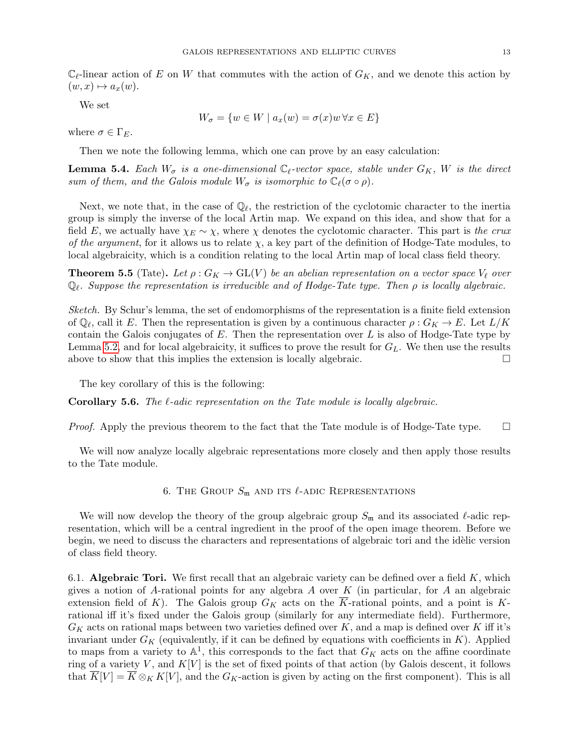$\mathbb{C}_{\ell}$ -linear action of E on W that commutes with the action of  $G_K$ , and we denote this action by  $(w, x) \mapsto a_x(w).$ 

We set

$$
W_{\sigma} = \{ w \in W \mid a_x(w) = \sigma(x)w \,\forall x \in E \}
$$

where  $\sigma \in \Gamma_E$ .

Then we note the following lemma, which one can prove by an easy calculation:

**Lemma 5.4.** Each  $W_{\sigma}$  is a one-dimensional  $\mathbb{C}_{\ell}$ -vector space, stable under  $G_K$ , W is the direct sum of them, and the Galois module  $W_{\sigma}$  is isomorphic to  $\mathbb{C}_{\ell}(\sigma \circ \rho)$ .

Next, we note that, in the case of  $\mathbb{Q}_{\ell}$ , the restriction of the cyclotomic character to the inertia group is simply the inverse of the local Artin map. We expand on this idea, and show that for a field E, we actually have  $\chi_E \sim \chi$ , where  $\chi$  denotes the cyclotomic character. This part is the crux of the argument, for it allows us to relate  $\chi$ , a key part of the definition of Hodge-Tate modules, to local algebraicity, which is a condition relating to the local Artin map of local class field theory.

**Theorem 5.5** (Tate). Let  $\rho: G_K \to GL(V)$  be an abelian representation on a vector space  $V_\ell$  over  $\mathbb{Q}_\ell$ . Suppose the representation is irreducible and of Hodge-Tate type. Then  $\rho$  is locally algebraic.

Sketch. By Schur's lemma, the set of endomorphisms of the representation is a finite field extension of  $\mathbb{Q}_\ell$ , call it E. Then the representation is given by a continuous character  $\rho: G_K \to E$ . Let  $L/K$ contain the Galois conjugates of  $E$ . Then the representation over  $L$  is also of Hodge-Tate type by Lemma [5.2,](#page-11-0) and for local algebraicity, it suffices to prove the result for  $G_L$ . We then use the results above to show that this implies the extension is locally algebraic.  $\Box$ 

The key corollary of this is the following:

**Corollary 5.6.** The  $\ell$ -adic representation on the Tate module is locally algebraic.

*Proof.* Apply the previous theorem to the fact that the Tate module is of Hodge-Tate type.  $\square$ 

We will now analyze locally algebraic representations more closely and then apply those results to the Tate module.

6. THE GROUP  $S_m$  and its  $\ell$ -adic Representations

We will now develop the theory of the group algebraic group  $S_m$  and its associated  $\ell$ -adic representation, which will be a central ingredient in the proof of the open image theorem. Before we begin, we need to discuss the characters and representations of algebraic tori and the idèlic version of class field theory.

6.1. **Algebraic Tori.** We first recall that an algebraic variety can be defined over a field  $K$ , which gives a notion of A-rational points for any algebra A over  $K$  (in particular, for A an algebraic extension field of K). The Galois group  $G_K$  acts on the  $\overline{K}$ -rational points, and a point is Krational iff it's fixed under the Galois group (similarly for any intermediate field). Furthermore,  $G_K$  acts on rational maps between two varieties defined over K, and a map is defined over K iff it's invariant under  $G_K$  (equivalently, if it can be defined by equations with coefficients in  $K$ ). Applied to maps from a variety to  $\mathbb{A}^1$ , this corresponds to the fact that  $G_K$  acts on the affine coordinate ring of a variety V, and  $K[V]$  is the set of fixed points of that action (by Galois descent, it follows that  $\overline{K}[V] = \overline{K} \otimes_K K[V]$ , and the  $G_K$ -action is given by acting on the first component). This is all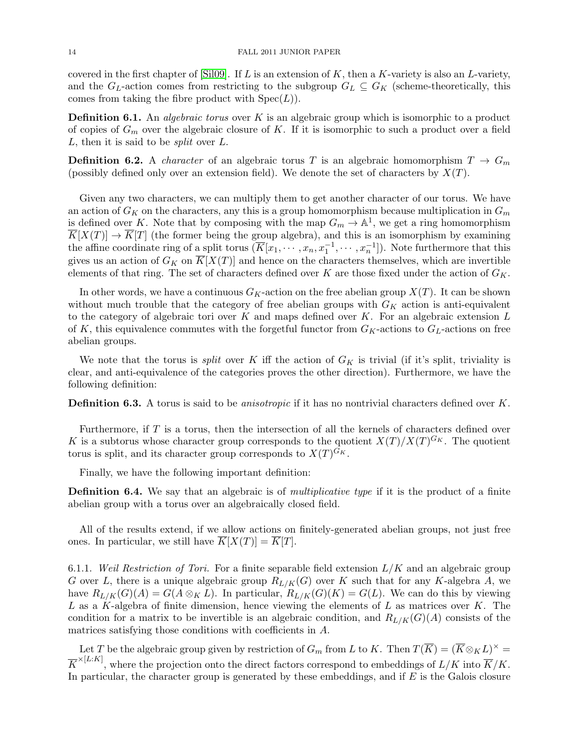covered in the first chapter of [\[Sil09\]](#page-19-3). If  $L$  is an extension of  $K$ , then a  $K$ -variety is also an  $L$ -variety, and the  $G_L$ -action comes from restricting to the subgroup  $G_L \subseteq G_K$  (scheme-theoretically, this comes from taking the fibre product with  $Spec(L)$ .

**Definition 6.1.** An *algebraic torus* over  $K$  is an algebraic group which is isomorphic to a product of copies of  $G_m$  over the algebraic closure of K. If it is isomorphic to such a product over a field L, then it is said to be split over L.

**Definition 6.2.** A *character* of an algebraic torus T is an algebraic homomorphism  $T \rightarrow G_m$ (possibly defined only over an extension field). We denote the set of characters by  $X(T)$ .

Given any two characters, we can multiply them to get another character of our torus. We have an action of  $G_K$  on the characters, any this is a group homomorphism because multiplication in  $G_m$ is defined over K. Note that by composing with the map  $G_m \to \mathbb{A}^1$ , we get a ring homomorphism  $\overline{K}[X(T)] \to \overline{K}[T]$  (the former being the group algebra), and this is an isomorphism by examining the affine coordinate ring of a split torus  $(\overline{K}[x_1,\dots,x_n,x_1^{-1},\dots,x_n^{-1}])$ . Note furthermore that this gives us an action of  $G_K$  on  $\overline{K}[X(T)]$  and hence on the characters themselves, which are invertible elements of that ring. The set of characters defined over K are those fixed under the action of  $G_K$ .

In other words, we have a continuous  $G_K$ -action on the free abelian group  $X(T)$ . It can be shown without much trouble that the category of free abelian groups with  $G_K$  action is anti-equivalent to the category of algebraic tori over  $K$  and maps defined over  $K$ . For an algebraic extension  $L$ of K, this equivalence commutes with the forgetful functor from  $G_K$ -actions to  $G_L$ -actions on free abelian groups.

We note that the torus is *split* over K iff the action of  $G_K$  is trivial (if it's split, triviality is clear, and anti-equivalence of the categories proves the other direction). Furthermore, we have the following definition:

**Definition 6.3.** A torus is said to be *anisotropic* if it has no nontrivial characters defined over K.

Furthermore, if T is a torus, then the intersection of all the kernels of characters defined over K is a subtorus whose character group corresponds to the quotient  $X(T)/X(T)^{G_K}$ . The quotient torus is split, and its character group corresponds to  $X(T)^{G_K}$ .

Finally, we have the following important definition:

**Definition 6.4.** We say that an algebraic is of *multiplicative type* if it is the product of a finite abelian group with a torus over an algebraically closed field.

All of the results extend, if we allow actions on finitely-generated abelian groups, not just free ones. In particular, we still have  $\overline{K}[X(T)] = \overline{K}[T]$ .

6.1.1. Weil Restriction of Tori. For a finite separable field extension  $L/K$  and an algebraic group G over L, there is a unique algebraic group  $R_{L/K}(G)$  over K such that for any K-algebra A, we have  $R_{L/K}(G)(A) = G(A \otimes_K L)$ . In particular,  $R_{L/K}(G)(K) = G(L)$ . We can do this by viewing L as a K-algebra of finite dimension, hence viewing the elements of L as matrices over K. The condition for a matrix to be invertible is an algebraic condition, and  $R_{L/K}(G)(A)$  consists of the matrices satisfying those conditions with coefficients in A.

Let T be the algebraic group given by restriction of  $G_m$  from L to K. Then  $T(\overline{K}) = (\overline{K} \otimes_K L)^{\times} =$  $\overline{K}^{\times [L:K]}$ , where the projection onto the direct factors correspond to embeddings of  $L/K$  into  $\overline{K}/K$ . In particular, the character group is generated by these embeddings, and if  $E$  is the Galois closure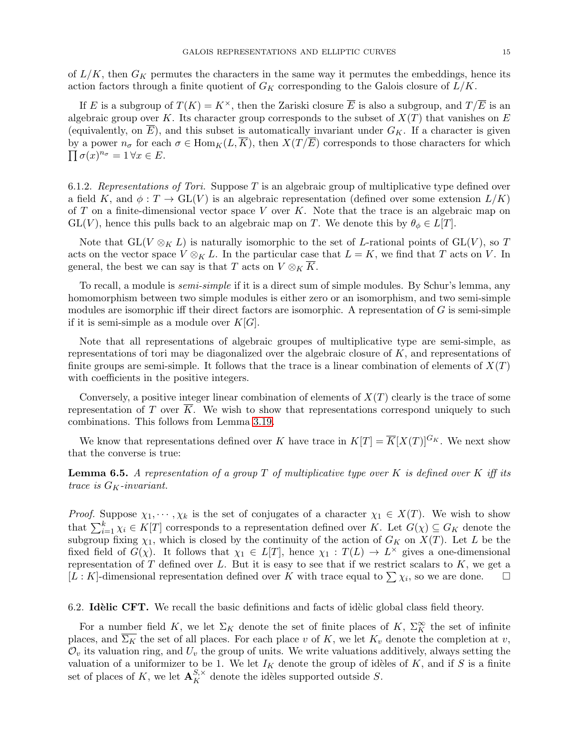of  $L/K$ , then  $G_K$  permutes the characters in the same way it permutes the embeddings, hence its action factors through a finite quotient of  $G_K$  corresponding to the Galois closure of  $L/K$ .

If E is a subgroup of  $T(K) = K^{\times}$ , then the Zariski closure  $\overline{E}$  is also a subgroup, and  $T/\overline{E}$  is an algebraic group over K. Its character group corresponds to the subset of  $X(T)$  that vanishes on E (equivalently, on  $\overline{E}$ ), and this subset is automatically invariant under  $G_K$ . If a character is given  $\prod \sigma(x)^{n_{\sigma}} = 1 \forall x \in E.$ by a power  $n_{\sigma}$  for each  $\sigma \in \text{Hom}_K(L,\overline{K})$ , then  $X(T/\overline{E})$  corresponds to those characters for which

6.1.2. Representations of Tori. Suppose T is an algebraic group of multiplicative type defined over a field K, and  $\phi: T \to GL(V)$  is an algebraic representation (defined over some extension  $L/K$ ) of T on a finite-dimensional vector space V over K. Note that the trace is an algebraic map on  $GL(V)$ , hence this pulls back to an algebraic map on T. We denote this by  $\theta_{\phi} \in L[T]$ .

Note that  $GL(V \otimes_K L)$  is naturally isomorphic to the set of L-rational points of  $GL(V)$ , so T acts on the vector space  $V \otimes_K L$ . In the particular case that  $L = K$ , we find that T acts on V. In general, the best we can say is that T acts on  $V \otimes_K K$ .

To recall, a module is semi-simple if it is a direct sum of simple modules. By Schur's lemma, any homomorphism between two simple modules is either zero or an isomorphism, and two semi-simple modules are isomorphic iff their direct factors are isomorphic. A representation of  $G$  is semi-simple if it is semi-simple as a module over  $K[G]$ .

Note that all representations of algebraic groupes of multiplicative type are semi-simple, as representations of tori may be diagonalized over the algebraic closure of K, and representations of finite groups are semi-simple. It follows that the trace is a linear combination of elements of  $X(T)$ with coefficients in the positive integers.

Conversely, a positive integer linear combination of elements of  $X(T)$  clearly is the trace of some representation of T over  $\overline{K}$ . We wish to show that representations correspond uniquely to such combinations. This follows from Lemma [3.19.](#page-10-0)

We know that representations defined over K have trace in  $K[T] = \overline{K}[X(T)]^{G_K}$ . We next show that the converse is true:

<span id="page-14-0"></span>**Lemma 6.5.** A representation of a group T of multiplicative type over K is defined over K iff its trace is  $G_K$ -invariant.

*Proof.* Suppose  $\chi_1, \dots, \chi_k$  is the set of conjugates of a character  $\chi_1 \in X(T)$ . We wish to show that  $\sum_{i=1}^{k} \chi_i \in K[T]$  corresponds to a representation defined over K. Let  $G(\chi) \subseteq G_K$  denote the subgroup fixing  $\chi_1$ , which is closed by the continuity of the action of  $G_K$  on  $X(T)$ . Let L be the fixed field of  $G(\chi)$ . It follows that  $\chi_1 \in L[T]$ , hence  $\chi_1 : T(L) \to L^{\times}$  gives a one-dimensional representation of  $T$  defined over  $L$ . But it is easy to see that if we restrict scalars to  $K$ , we get a  $[L: K]$ -dimensional representation defined over K with trace equal to  $\sum \chi_i$ , so we are done.

6.2. Idèlic CFT. We recall the basic definitions and facts of idèlic global class field theory.

For a number field K, we let  $\Sigma_K$  denote the set of finite places of K,  $\Sigma_K^{\infty}$  the set of infinite places, and  $\overline{\Sigma_K}$  the set of all places. For each place v of K, we let  $K_v$  denote the completion at v,  $\mathcal{O}_v$  its valuation ring, and  $U_v$  the group of units. We write valuations additively, always setting the valuation of a uniformizer to be 1. We let  $I_K$  denote the group of idèles of K, and if S is a finite set of places of K, we let  $\mathbf{A}_{K}^{S,\times}$  denote the idèles supported outside S.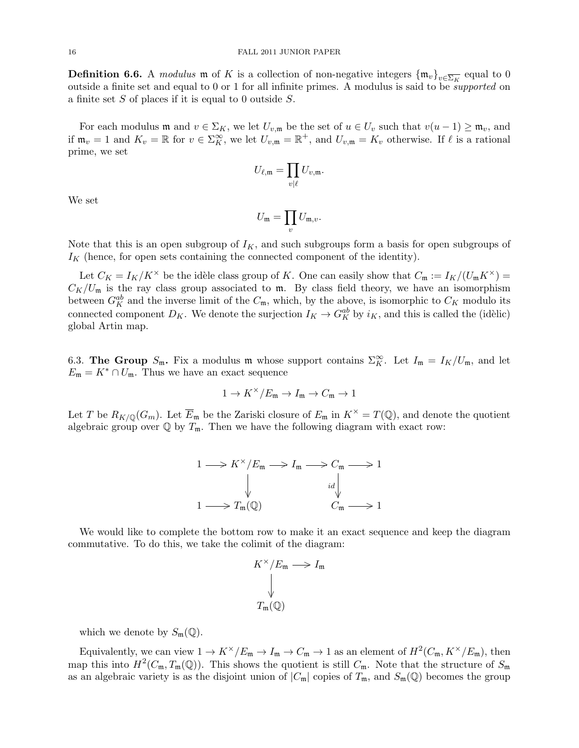**Definition 6.6.** A modulus m of K is a collection of non-negative integers  $\{\mathfrak{m}_v\}_{v\in\overline{\Sigma_K}}$  equal to 0 outside a finite set and equal to 0 or 1 for all infinite primes. A modulus is said to be supported on a finite set  $S$  of places if it is equal to 0 outside  $S$ .

For each modulus m and  $v \in \Sigma_K$ , we let  $U_{v,\mathfrak{m}}$  be the set of  $u \in U_v$  such that  $v(u-1) \geq \mathfrak{m}_v$ , and if  $\mathfrak{m}_v = 1$  and  $K_v = \mathbb{R}$  for  $v \in \Sigma_K^{\infty}$ , we let  $U_{v,\mathfrak{m}} = \mathbb{R}^+$ , and  $U_{v,\mathfrak{m}} = K_v$  otherwise. If  $\ell$  is a rational prime, we set

$$
U_{\ell,\mathfrak{m}}=\prod_{v|\ell}U_{v,\mathfrak{m}}.
$$

We set

$$
U_{\mathfrak{m}} = \prod_{v} U_{\mathfrak{m},v}.
$$

Note that this is an open subgroup of  $I_K$ , and such subgroups form a basis for open subgroups of  $I_K$  (hence, for open sets containing the connected component of the identity).

Let  $C_K = I_K/K^{\times}$  be the idèle class group of K. One can easily show that  $C_{\mathfrak{m}} := I_K/(U_{\mathfrak{m}}K^{\times}) =$  $C_K/U_m$  is the ray class group associated to m. By class field theory, we have an isomorphism between  $G_K^{ab}$  and the inverse limit of the  $C_{\mathfrak{m}}$ , which, by the above, is isomorphic to  $C_K$  modulo its connected component  $D_K$ . We denote the surjection  $I_K \to G_K^{ab}$  by  $i_K$ , and this is called the (idèlic) global Artin map.

6.3. The Group  $S_m$ . Fix a modulus m whose support contains  $\Sigma_K^{\infty}$ . Let  $I_m = I_K/U_m$ , and let  $E_{\mathfrak{m}} = K^* \cap U_{\mathfrak{m}}$ . Thus we have an exact sequence

$$
1\to K^\times/E_{\mathfrak{m}}\to I_{\mathfrak{m}}\to C_{\mathfrak{m}}\to 1
$$

Let T be  $R_{K/\mathbb{Q}}(G_m)$ . Let  $\overline{E}_{\mathfrak{m}}$  be the Zariski closure of  $E_{\mathfrak{m}}$  in  $K^\times = T(\mathbb{Q})$ , and denote the quotient algebraic group over  $\mathbb Q$  by  $T_{\mathfrak m}$ . Then we have the following diagram with exact row:

$$
1 \longrightarrow K^{\times}/E_{\mathfrak{m}} \longrightarrow I_{\mathfrak{m}} \longrightarrow C_{\mathfrak{m}} \longrightarrow 1
$$
  
\n
$$
\downarrow \qquad \qquad id \downarrow \qquad \qquad id
$$
  
\n
$$
1 \longrightarrow T_{\mathfrak{m}}(\mathbb{Q}) \qquad \qquad C_{\mathfrak{m}} \longrightarrow 1
$$

We would like to complete the bottom row to make it an exact sequence and keep the diagram commutative. To do this, we take the colimit of the diagram:

$$
K^{\times}/E_{\mathfrak{m}} \longrightarrow I_{\mathfrak{m}}
$$
  

$$
\downarrow
$$
  

$$
T_{\mathfrak{m}}(\mathbb{Q})
$$

which we denote by  $S_m(\mathbb{Q})$ .

Equivalently, we can view  $1 \to K^{\times}/E_{\mathfrak{m}} \to I_{\mathfrak{m}} \to C_{\mathfrak{m}} \to 1$  as an element of  $H^2(C_{\mathfrak{m}}, K^{\times}/E_{\mathfrak{m}})$ , then map this into  $H^2(C_{\mathfrak{m}}, T_{\mathfrak{m}}(\mathbb{Q}))$ . This shows the quotient is still  $C_{\mathfrak{m}}$ . Note that the structure of  $S_{\mathfrak{m}}$ as an algebraic variety is as the disjoint union of  $|C_m|$  copies of  $T_m$ , and  $S_m(\mathbb{Q})$  becomes the group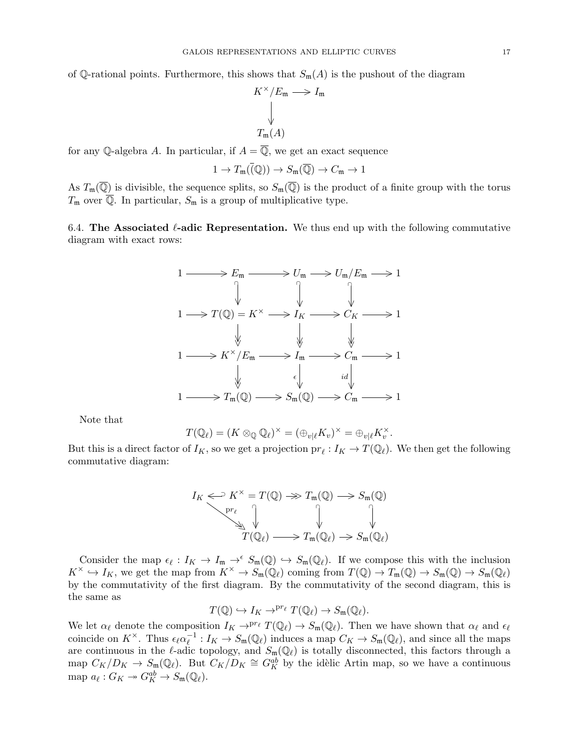of Q-rational points. Furthermore, this shows that  $S_m(A)$  is the pushout of the diagram

$$
K^{\times}/E_{\mathfrak{m}} \longrightarrow I_{\mathfrak{m}}
$$
  

$$
\downarrow
$$
  

$$
T_{\mathfrak{m}}(A)
$$

for any Q-algebra A. In particular, if  $A = \overline{Q}$ , we get an exact sequence

$$
1 \to T_{\mathfrak{m}}(\bar{Q})) \to S_{\mathfrak{m}}(\overline{Q}) \to C_{\mathfrak{m}} \to 1
$$

As  $T_{\mathfrak{m}}(\overline{\mathbb{Q}})$  is divisible, the sequence splits, so  $S_{\mathfrak{m}}(\overline{\mathbb{Q}})$  is the product of a finite group with the torus  $T_m$  over  $\overline{Q}$ . In particular,  $S_m$  is a group of multiplicative type.

6.4. The Associated  $\ell$ -adic Representation. We thus end up with the following commutative diagram with exact rows:



Note that

$$
T(\mathbb{Q}_{\ell})=(K\otimes_{\mathbb{Q}}\mathbb{Q}_{\ell})^{\times}=(\oplus_{v|\ell}K_v)^{\times}=\oplus_{v|\ell}K_v^{\times}.
$$

But this is a direct factor of  $I_K$ , so we get a projection  $pr_\ell : I_K \to T(\mathbb{Q}_\ell)$ . We then get the following commutative diagram:

$$
I_K \Longleftrightarrow K^{\times} = T(\mathbb{Q}) \Rightarrow T_{\mathfrak{m}}(\mathbb{Q}) \longrightarrow S_{\mathfrak{m}}(\mathbb{Q})
$$

$$
\downarrow \qquad \qquad \downarrow \qquad \qquad \downarrow
$$

$$
T(\mathbb{Q}_{\ell}) \longrightarrow T_{\mathfrak{m}}(\mathbb{Q}_{\ell}) \Rightarrow S_{\mathfrak{m}}(\mathbb{Q}_{\ell})
$$

Consider the map  $\epsilon_{\ell}: I_K \to I_{\mathfrak{m}} \to^{\epsilon} S_{\mathfrak{m}}(\mathbb{Q}) \hookrightarrow S_{\mathfrak{m}}(\mathbb{Q}_{\ell})$ . If we compose this with the inclusion  $K^{\times} \hookrightarrow I_K$ , we get the map from  $K^{\times} \to S_{\mathfrak{m}}(\mathbb{Q}_\ell)$  coming from  $T(\mathbb{Q}) \to T_{\mathfrak{m}}(\mathbb{Q}) \to S_{\mathfrak{m}}(\mathbb{Q}) \to S_{\mathfrak{m}}(\mathbb{Q}_\ell)$ by the commutativity of the first diagram. By the commutativity of the second diagram, this is the same as

$$
T(\mathbb{Q}) \hookrightarrow I_K \to^{pr_{\ell}} T(\mathbb{Q}_{\ell}) \to S_m(\mathbb{Q}_{\ell}).
$$

We let  $\alpha_\ell$  denote the composition  $I_K \to^{pr_\ell} T(\mathbb{Q}_\ell) \to S_m(\mathbb{Q}_\ell)$ . Then we have shown that  $\alpha_\ell$  and  $\epsilon_\ell$ coincide on  $K^{\times}$ . Thus  $\epsilon_{\ell} \alpha_{\ell}^{-1}$  $\mathcal{L}_{\ell}^{-1}: I_K \to S_{\mathfrak{m}}(\mathbb{Q}_{\ell})$  induces a map  $C_K \to S_{\mathfrak{m}}(\mathbb{Q}_{\ell})$ , and since all the maps are continuous in the  $\ell$ -adic topology, and  $S_m(\mathbb{Q}_\ell)$  is totally disconnected, this factors through a map  $C_K/D_K \to S_m(\mathbb{Q}_\ell)$ . But  $C_K/D_K \cong G_K^{ab}$  by the idèlic Artin map, so we have a continuous map  $a_{\ell}: G_K \to G_K^{ab} \to S_{\mathfrak{m}}(\mathbb{Q}_{\ell}).$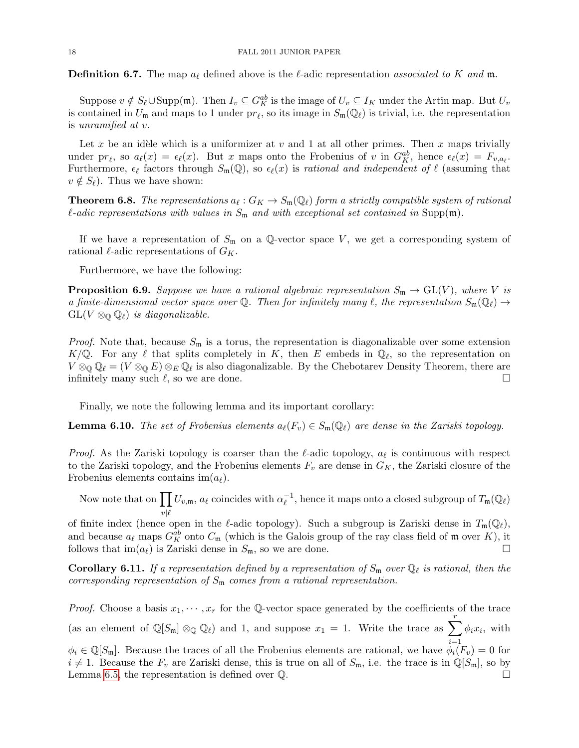**Definition 6.7.** The map  $a_\ell$  defined above is the  $\ell$ -adic representation associated to K and m.

Suppose  $v \notin S_{\ell} \cup \text{Supp}(\mathfrak{m})$ . Then  $I_v \subseteq G_K^{ab}$  is the image of  $U_v \subseteq I_K$  under the Artin map. But  $U_v$ is contained in  $U_m$  and maps to 1 under  $pr_\ell$ , so its image in  $S_m(\mathbb{Q}_\ell)$  is trivial, i.e. the representation is unramified at v.

Let x be an idèle which is a uniformizer at v and 1 at all other primes. Then x maps trivially under pr<sub> $\ell$ </sub>, so  $a_{\ell}(x) = \epsilon_{\ell}(x)$ . But x maps onto the Frobenius of v in  $G_K^{ab}$ , hence  $\epsilon_{\ell}(x) = F_{v,a_{\ell}}$ . Furthermore,  $\epsilon_{\ell}$  factors through  $S_{\mathfrak{m}}(\mathbb{Q})$ , so  $\epsilon_{\ell}(x)$  is rational and independent of  $\ell$  (assuming that  $v \notin S_{\ell}$ ). Thus we have shown:

**Theorem 6.8.** The representations  $a_{\ell}: G_K \to S_{\mathfrak{m}}(\mathbb{Q}_{\ell})$  form a strictly compatible system of rational  $\ell$ -adic representations with values in  $S_m$  and with exceptional set contained in Supp(m).

If we have a representation of  $S_m$  on a Q-vector space V, we get a corresponding system of rational  $\ell$ -adic representations of  $G_K$ .

Furthermore, we have the following:

**Proposition 6.9.** Suppose we have a rational algebraic representation  $S_m \to GL(V)$ , where V is a finite-dimensional vector space over Q. Then for infinitely many  $\ell$ , the representation  $S_m(\mathbb{Q}_\ell) \to$  $GL(V \otimes_{\mathbb{Q}} \mathbb{Q}_\ell)$  is diagonalizable.

*Proof.* Note that, because  $S_m$  is a torus, the representation is diagonalizable over some extension  $K/\mathbb{Q}$ . For any  $\ell$  that splits completely in K, then E embeds in  $\mathbb{Q}_{\ell}$ , so the representation on  $V\otimes_{\mathbb{Q}}\mathbb{Q}_\ell = (V\otimes_{\mathbb{Q}} E)\otimes_E \mathbb{Q}_\ell$  is also diagonalizable. By the Chebotarev Density Theorem, there are infinitely many such  $\ell$ , so we are done.

Finally, we note the following lemma and its important corollary:

**Lemma 6.10.** The set of Frobenius elements  $a_{\ell}(F_v) \in S_m(\mathbb{Q}_{\ell})$  are dense in the Zariski topology.

*Proof.* As the Zariski topology is coarser than the  $\ell$ -adic topology,  $a_{\ell}$  is continuous with respect to the Zariski topology, and the Frobenius elements  $F_v$  are dense in  $G_K$ , the Zariski closure of the Frobenius elements contains im $(a_\ell)$ .

Now note that on  $\prod U_{v,\mathfrak{m}}$ ,  $a_{\ell}$  coincides with  $\alpha_{\ell}^{-1}$  $v|\ell$  $^{-1}_{\ell}$ , hence it maps onto a closed subgroup of  $T_{\mathfrak{m}}(\mathbb{Q}_{\ell})$ 

of finite index (hence open in the  $\ell$ -adic topology). Such a subgroup is Zariski dense in  $T_{\mathfrak{m}}(\mathbb{Q}_{\ell}),$ and because  $a_\ell$  maps  $G_K^{ab}$  onto  $C_m$  (which is the Galois group of the ray class field of m over K), it follows that  $\text{im}(a_\ell)$  is Zariski dense in  $S_m$ , so we are done.

**Corollary 6.11.** If a representation defined by a representation of  $S_m$  over  $\mathbb{Q}_\ell$  is rational, then the corresponding representation of  $S_m$  comes from a rational representation.

*Proof.* Choose a basis  $x_1, \dots, x_r$  for the Q-vector space generated by the coefficients of the trace (as an element of  $\mathbb{Q}[S_{\mathfrak{m}}] \otimes_{\mathbb{Q}} \mathbb{Q}_{\ell}$ ) and 1, and suppose  $x_1 = 1$ . Write the trace as  $\sum_{k=1}^{r}$  $i=1$  $\phi_i x_i$ , with  $\phi_i \in \mathbb{Q}[S_m]$ . Because the traces of all the Frobenius elements are rational, we have  $\phi_i(F_v) = 0$  for  $i \neq 1$ . Because the  $F_v$  are Zariski dense, this is true on all of  $S_m$ , i.e. the trace is in  $\mathbb{Q}[S_m]$ , so by Lemma [6.5,](#page-14-0) the representation is defined over Q.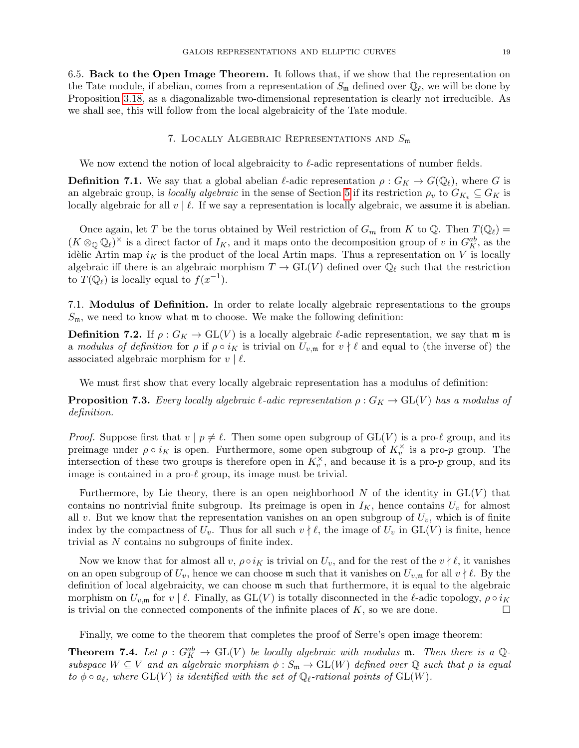6.5. Back to the Open Image Theorem. It follows that, if we show that the representation on the Tate module, if abelian, comes from a representation of  $S_m$  defined over  $\mathbb{Q}_\ell$ , we will be done by Proposition [3.18,](#page-9-0) as a diagonalizable two-dimensional representation is clearly not irreducible. As we shall see, this will follow from the local algebraicity of the Tate module.

### 7. LOCALLY ALGEBRAIC REPRESENTATIONS AND  $S_{\mathfrak{m}}$

We now extend the notion of local algebraicity to  $\ell$ -adic representations of number fields.

**Definition 7.1.** We say that a global abelian  $\ell$ -adic representation  $\rho : G_K \to G(\mathbb{Q}_\ell)$ , where G is an algebraic group, is locally algebraic in the sense of Section [5](#page-11-1) if its restriction  $\rho_v$  to  $G_{K_v} \subseteq G_K$  is locally algebraic for all  $v \mid \ell$ . If we say a representation is locally algebraic, we assume it is abelian.

Once again, let T be the torus obtained by Weil restriction of  $G_m$  from K to Q. Then  $T(\mathbb{Q}_\ell)$  =  $(K \otimes_{\mathbb{Q}} \mathbb{Q}_\ell)^\times$  is a direct factor of  $I_K$ , and it maps onto the decomposition group of v in  $G_K^{ab}$ , as the idèlic Artin map  $i<sub>K</sub>$  is the product of the local Artin maps. Thus a representation on V is locally algebraic iff there is an algebraic morphism  $T \to GL(V)$  defined over  $\mathbb{Q}_\ell$  such that the restriction to  $T(\mathbb{Q}_\ell)$  is locally equal to  $f(x^{-1})$ .

7.1. Modulus of Definition. In order to relate locally algebraic representations to the groups  $S_m$ , we need to know what  $m$  to choose. We make the following definition:

**Definition 7.2.** If  $\rho: G_K \to GL(V)$  is a locally algebraic  $\ell$ -adic representation, we say that m is a modulus of definition for  $\rho$  if  $\rho \circ i_K$  is trivial on  $U_{v,\mathfrak{m}}$  for  $v \nmid \ell$  and equal to (the inverse of) the associated algebraic morphism for  $v \mid \ell$ .

We must first show that every locally algebraic representation has a modulus of definition:

**Proposition 7.3.** Every locally algebraic  $\ell$ -adic representation  $\rho : G_K \to GL(V)$  has a modulus of definition.

*Proof.* Suppose first that  $v \mid p \neq \ell$ . Then some open subgroup of  $GL(V)$  is a pro- $\ell$  group, and its preimage under  $\rho \circ i_K$  is open. Furthermore, some open subgroup of  $K_v^{\times}$  is a pro-p group. The intersection of these two groups is therefore open in  $K_v^{\times}$ , and because it is a pro-p group, and its image is contained in a pro- $\ell$  group, its image must be trivial.

Furthermore, by Lie theory, there is an open neighborhood N of the identity in  $GL(V)$  that contains no nontrivial finite subgroup. Its preimage is open in  $I_K$ , hence contains  $U_v$  for almost all v. But we know that the representation vanishes on an open subgroup of  $U_v$ , which is of finite index by the compactness of  $U_v$ . Thus for all such  $v \nmid \ell$ , the image of  $U_v$  in  $GL(V)$  is finite, hence trivial as N contains no subgroups of finite index.

Now we know that for almost all v,  $\rho \circ i_K$  is trivial on  $U_v$ , and for the rest of the  $v \nmid \ell$ , it vanishes on an open subgroup of  $U_v$ , hence we can choose m such that it vanishes on  $U_{v,m}$  for all  $v \nmid \ell$ . By the definition of local algebraicity, we can choose m such that furthermore, it is equal to the algebraic morphism on  $U_{v,\mathfrak{m}}$  for  $v \mid \ell$ . Finally, as  $GL(V)$  is totally disconnected in the  $\ell$ -adic topology,  $\rho \circ i_K$ is trivial on the connected components of the infinite places of  $K$ , so we are done.

Finally, we come to the theorem that completes the proof of Serre's open image theorem:

**Theorem 7.4.** Let  $\rho: G_K^{ab} \to GL(V)$  be locally algebraic with modulus m. Then there is a Qsubspace  $W \subseteq V$  and an algebraic morphism  $\phi : S_m \to GL(W)$  defined over  $\mathbb Q$  such that  $\rho$  is equal to  $\phi \circ a_{\ell}$ , where  $GL(V)$  is identified with the set of  $\mathbb{Q}_{\ell}$ -rational points of  $GL(W)$ .